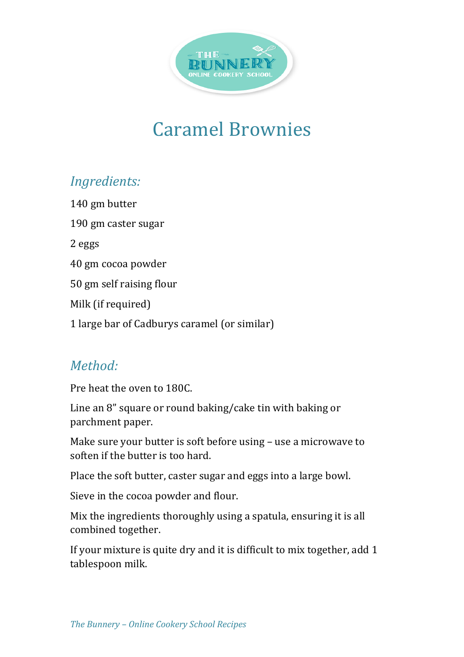

## Caramel Brownies

## *Ingredients:*

140 gm butter 190 gm caster sugar 2 eggs 40 gm cocoa powder 50 gm self raising flour Milk (if required) 1 large bar of Cadburys caramel (or similar)

## *Method:*

Pre heat the oven to 180C.

Line an  $8$ " square or round baking/cake tin with baking or parchment paper.

Make sure your butter is soft before using  $-$  use a microwave to soften if the butter is too hard.

Place the soft butter, caster sugar and eggs into a large bowl.

Sieve in the cocoa powder and flour.

Mix the ingredients thoroughly using a spatula, ensuring it is all combined together.

If your mixture is quite dry and it is difficult to mix together, add 1 tablespoon milk.